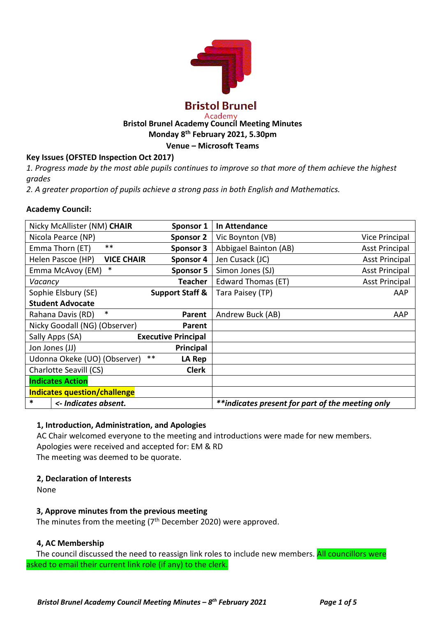

#### Academy **Bristol Brunel Academy Council Meeting Minutes Monday 8th February 2021, 5.30pm**

**Venue – Microsoft Teams**

# **Key Issues (OFSTED Inspection Oct 2017)**

*1. Progress made by the most able pupils continues to improve so that more of them achieve the highest grades*

*2. A greater proportion of pupils achieve a strong pass in both English and Mathematics.*

## **Academy Council:**

| Nicky McAllister (NM) CHAIR            | Sponsor 1                  | In Attendance                                    |                       |
|----------------------------------------|----------------------------|--------------------------------------------------|-----------------------|
| Nicola Pearce (NP)                     | <b>Sponsor 2</b>           | Vic Boynton (VB)                                 | Vice Principal        |
| $***$<br>Emma Thorn (ET)               | Sponsor 3                  | Abbigael Bainton (AB)                            | <b>Asst Principal</b> |
| Helen Pascoe (HP)<br><b>VICE CHAIR</b> | Sponsor 4                  | Jen Cusack (JC)                                  | <b>Asst Principal</b> |
| Emma McAvoy (EM)<br>∗                  | Sponsor 5                  | Simon Jones (SJ)                                 | <b>Asst Principal</b> |
| Vacancy                                | <b>Teacher</b>             | Edward Thomas (ET)                               | <b>Asst Principal</b> |
| Sophie Elsbury (SE)                    | <b>Support Staff &amp;</b> | Tara Paisey (TP)                                 | AAP                   |
| <b>Student Advocate</b>                |                            |                                                  |                       |
| $\ast$<br>Rahana Davis (RD)            | Parent                     | Andrew Buck (AB)                                 | AAP                   |
| Nicky Goodall (NG) (Observer)          | Parent                     |                                                  |                       |
| Sally Apps (SA)                        | <b>Executive Principal</b> |                                                  |                       |
| Jon Jones (JJ)                         | Principal                  |                                                  |                       |
| Udonna Okeke (UO) (Observer)           | $***$<br>LA Rep            |                                                  |                       |
| Charlotte Seavill (CS)                 | <b>Clerk</b>               |                                                  |                       |
| <b>Indicates Action</b>                |                            |                                                  |                       |
| <b>Indicates question/challenge</b>    |                            |                                                  |                       |
| *<br><- Indicates absent.              |                            | **indicates present for part of the meeting only |                       |

## **1, Introduction, Administration, and Apologies**

AC Chair welcomed everyone to the meeting and introductions were made for new members. Apologies were received and accepted for: EM & RD The meeting was deemed to be quorate.

# **2, Declaration of Interests**

None

# **3, Approve minutes from the previous meeting**

The minutes from the meeting  $(7<sup>th</sup>$  December 2020) were approved.

# **4, AC Membership**

The council discussed the need to reassign link roles to include new members. All councillors were asked to email their current link role (if any) to the clerk.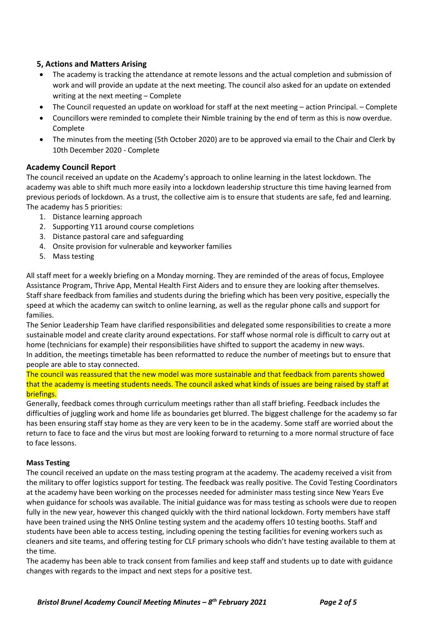## **5, Actions and Matters Arising**

- The academy is tracking the attendance at remote lessons and the actual completion and submission of work and will provide an update at the next meeting. The council also asked for an update on extended writing at the next meeting – Complete
- The Council requested an update on workload for staff at the next meeting action Principal. Complete
- Councillors were reminded to complete their Nimble training by the end of term as this is now overdue. Complete
- The minutes from the meeting (5th October 2020) are to be approved via email to the Chair and Clerk by 10th December 2020 - Complete

## **Academy Council Report**

The council received an update on the Academy's approach to online learning in the latest lockdown. The academy was able to shift much more easily into a lockdown leadership structure this time having learned from previous periods of lockdown. As a trust, the collective aim is to ensure that students are safe, fed and learning. The academy has 5 priorities:

- 1. Distance learning approach
- 2. Supporting Y11 around course completions
- 3. Distance pastoral care and safeguarding
- 4. Onsite provision for vulnerable and keyworker families
- 5. Mass testing

All staff meet for a weekly briefing on a Monday morning. They are reminded of the areas of focus, Employee Assistance Program, Thrive App, Mental Health First Aiders and to ensure they are looking after themselves. Staff share feedback from families and students during the briefing which has been very positive, especially the speed at which the academy can switch to online learning, as well as the regular phone calls and support for families.

The Senior Leadership Team have clarified responsibilities and delegated some responsibilities to create a more sustainable model and create clarity around expectations. For staff whose normal role is difficult to carry out at home (technicians for example) their responsibilities have shifted to support the academy in new ways. In addition, the meetings timetable has been reformatted to reduce the number of meetings but to ensure that people are able to stay connected.

The council was reassured that the new model was more sustainable and that feedback from parents showed that the academy is meeting students needs. The council asked what kinds of issues are being raised by staff at briefings.

Generally, feedback comes through curriculum meetings rather than all staff briefing. Feedback includes the difficulties of juggling work and home life as boundaries get blurred. The biggest challenge for the academy so far has been ensuring staff stay home as they are very keen to be in the academy. Some staff are worried about the return to face to face and the virus but most are looking forward to returning to a more normal structure of face to face lessons.

#### **Mass Testing**

The council received an update on the mass testing program at the academy. The academy received a visit from the military to offer logistics support for testing. The feedback was really positive. The Covid Testing Coordinators at the academy have been working on the processes needed for administer mass testing since New Years Eve when guidance for schools was available. The initial guidance was for mass testing as schools were due to reopen fully in the new year, however this changed quickly with the third national lockdown. Forty members have staff have been trained using the NHS Online testing system and the academy offers 10 testing booths. Staff and students have been able to access testing, including opening the testing facilities for evening workers such as cleaners and site teams, and offering testing for CLF primary schools who didn't have testing available to them at the time.

The academy has been able to track consent from families and keep staff and students up to date with guidance changes with regards to the impact and next steps for a positive test.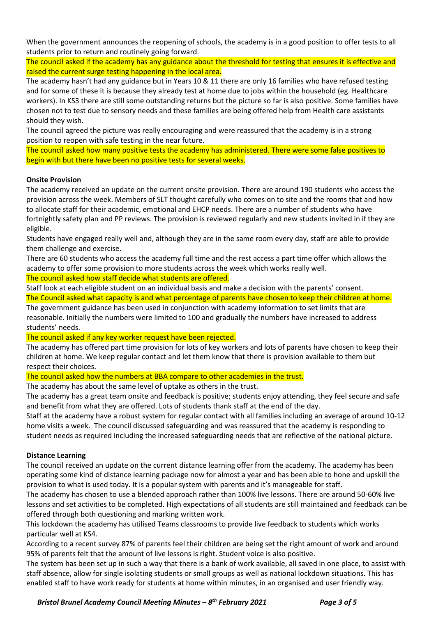When the government announces the reopening of schools, the academy is in a good position to offer tests to all students prior to return and routinely going forward.

The council asked if the academy has any guidance about the threshold for testing that ensures it is effective and raised the current surge testing happening in the local area.

The academy hasn't had any guidance but in Years 10 & 11 there are only 16 families who have refused testing and for some of these it is because they already test at home due to jobs within the household (eg. Healthcare workers). In KS3 there are still some outstanding returns but the picture so far is also positive. Some families have chosen not to test due to sensory needs and these families are being offered help from Health care assistants should they wish.

The council agreed the picture was really encouraging and were reassured that the academy is in a strong position to reopen with safe testing in the near future.

The council asked how many positive tests the academy has administered. There were some false positives to begin with but there have been no positive tests for several weeks.

#### **Onsite Provision**

The academy received an update on the current onsite provision. There are around 190 students who access the provision across the week. Members of SLT thought carefully who comes on to site and the rooms that and how to allocate staff for their academic, emotional and EHCP needs. There are a number of students who have fortnightly safety plan and PP reviews. The provision is reviewed regularly and new students invited in if they are eligible.

Students have engaged really well and, although they are in the same room every day, staff are able to provide them challenge and exercise.

There are 60 students who access the academy full time and the rest access a part time offer which allows the academy to offer some provision to more students across the week which works really well.

The council asked how staff decide what students are offered.

Staff look at each eligible student on an individual basis and make a decision with the parents' consent. The Council asked what capacity is and what percentage of parents have chosen to keep their children at home. The government guidance has been used in conjunction with academy information to set limits that are reasonable. Initially the numbers were limited to 100 and gradually the numbers have increased to address students' needs.

The council asked if any key worker request have been rejected.

The academy has offered part time provision for lots of key workers and lots of parents have chosen to keep their children at home. We keep regular contact and let them know that there is provision available to them but respect their choices.

The council asked how the numbers at BBA compare to other academies in the trust.

The academy has about the same level of uptake as others in the trust.

The academy has a great team onsite and feedback is positive; students enjoy attending, they feel secure and safe and benefit from what they are offered. Lots of students thank staff at the end of the day.

Staff at the academy have a robust system for regular contact with all families including an average of around 10-12 home visits a week. The council discussed safeguarding and was reassured that the academy is responding to student needs as required including the increased safeguarding needs that are reflective of the national picture.

## **Distance Learning**

The council received an update on the current distance learning offer from the academy. The academy has been operating some kind of distance learning package now for almost a year and has been able to hone and upskill the provision to what is used today. It is a popular system with parents and it's manageable for staff.

The academy has chosen to use a blended approach rather than 100% live lessons. There are around 50-60% live lessons and set activities to be completed. High expectations of all students are still maintained and feedback can be offered through both questioning and marking written work.

This lockdown the academy has utilised Teams classrooms to provide live feedback to students which works particular well at KS4.

According to a recent survey 87% of parents feel their children are being set the right amount of work and around 95% of parents felt that the amount of live lessons is right. Student voice is also positive.

The system has been set up in such a way that there is a bank of work available, all saved in one place, to assist with staff absence, allow for single isolating students or small groups as well as national lockdown situations. This has enabled staff to have work ready for students at home within minutes, in an organised and user friendly way.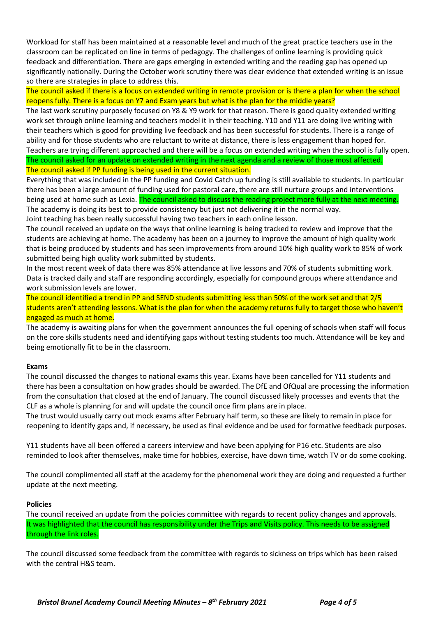Workload for staff has been maintained at a reasonable level and much of the great practice teachers use in the classroom can be replicated on line in terms of pedagogy. The challenges of online learning is providing quick feedback and differentiation. There are gaps emerging in extended writing and the reading gap has opened up significantly nationally. During the October work scrutiny there was clear evidence that extended writing is an issue so there are strategies in place to address this.

The council asked if there is a focus on extended writing in remote provision or is there a plan for when the school reopens fully. There is a focus on Y7 and Exam years but what is the plan for the middle years?

The last work scrutiny purposely focused on Y8 & Y9 work for that reason. There is good quality extended writing work set through online learning and teachers model it in their teaching. Y10 and Y11 are doing live writing with their teachers which is good for providing live feedback and has been successful for students. There is a range of ability and for those students who are reluctant to write at distance, there is less engagement than hoped for. Teachers are trying different approached and there will be a focus on extended writing when the school is fully open. The council asked for an update on extended writing in the next agenda and a review of those most affected. The council asked if PP funding is being used in the current situation.

Everything that was included in the PP funding and Covid Catch up funding is still available to students. In particular there has been a large amount of funding used for pastoral care, there are still nurture groups and interventions being used at home such as Lexia. The council asked to discuss the reading project more fully at the next meeting. The academy is doing its best to provide consistency but just not delivering it in the normal way. Joint teaching has been really successful having two teachers in each online lesson.

The council received an update on the ways that online learning is being tracked to review and improve that the students are achieving at home. The academy has been on a journey to improve the amount of high quality work that is being produced by students and has seen improvements from around 10% high quality work to 85% of work

submitted being high quality work submitted by students.

In the most recent week of data there was 85% attendance at live lessons and 70% of students submitting work. Data is tracked daily and staff are responding accordingly, especially for compound groups where attendance and work submission levels are lower.

The council identified a trend in PP and SEND students submitting less than 50% of the work set and that 2/5 students aren't attending lessons. What is the plan for when the academy returns fully to target those who haven't engaged as much at home.

The academy is awaiting plans for when the government announces the full opening of schools when staff will focus on the core skills students need and identifying gaps without testing students too much. Attendance will be key and being emotionally fit to be in the classroom.

#### **Exams**

The council discussed the changes to national exams this year. Exams have been cancelled for Y11 students and there has been a consultation on how grades should be awarded. The DfE and OfQual are processing the information from the consultation that closed at the end of January. The council discussed likely processes and events that the CLF as a whole is planning for and will update the council once firm plans are in place.

The trust would usually carry out mock exams after February half term, so these are likely to remain in place for reopening to identify gaps and, if necessary, be used as final evidence and be used for formative feedback purposes.

Y11 students have all been offered a careers interview and have been applying for P16 etc. Students are also reminded to look after themselves, make time for hobbies, exercise, have down time, watch TV or do some cooking.

The council complimented all staff at the academy for the phenomenal work they are doing and requested a further update at the next meeting.

#### **Policies**

The council received an update from the policies committee with regards to recent policy changes and approvals. It was highlighted that the council has responsibility under the Trips and Visits policy. This needs to be assigned through the link roles.

The council discussed some feedback from the committee with regards to sickness on trips which has been raised with the central H&S team.